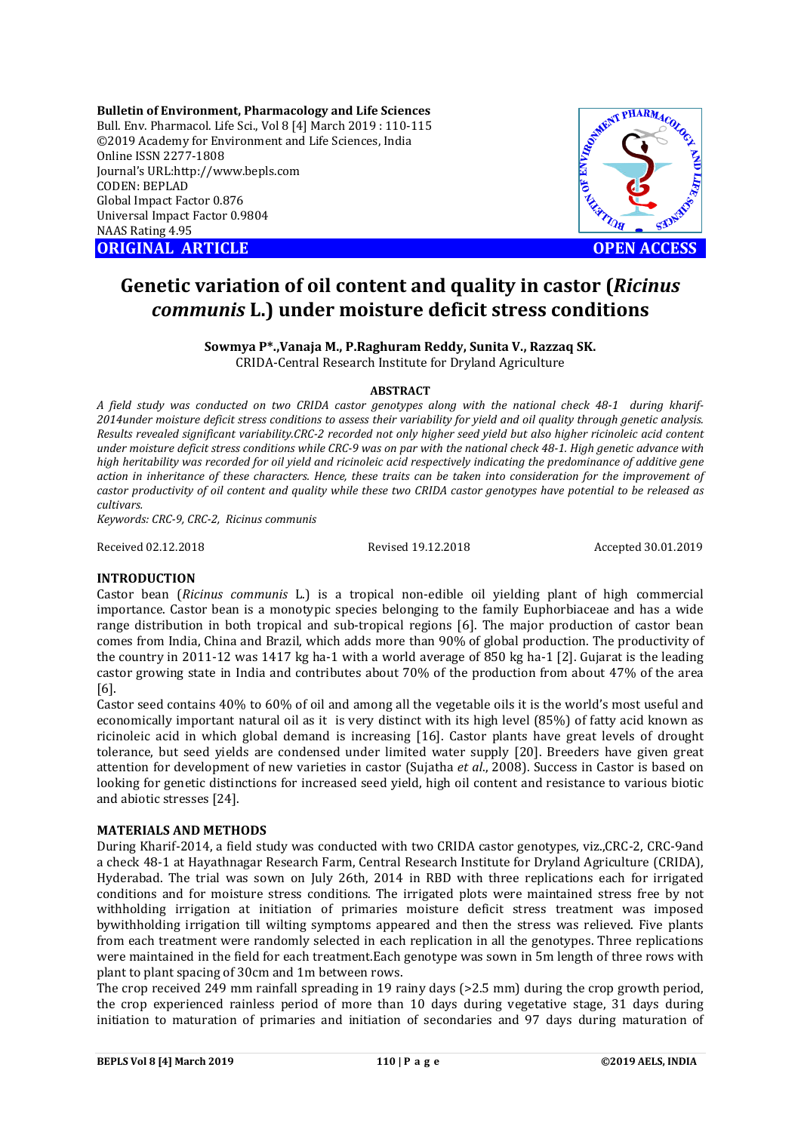**Bulletin of Environment, Pharmacology and Life Sciences** Bull. Env. Pharmacol. Life Sci., Vol 8 [4] March 2019 : 110-115 ©2019 Academy for Environment and Life Sciences, India Online ISSN 2277-1808 Journal's URL:http://www.bepls.com CODEN: BEPLAD Global Impact Factor 0.876 Universal Impact Factor 0.9804 NAAS Rating 4.95 **ORIGINAL ARTICLE OPEN ACCESS** 



# **Genetic variation of oil content and quality in castor (***Ricinus communis* **L.) under moisture deficit stress conditions**

**Sowmya P\*.,Vanaja M., P.Raghuram Reddy, Sunita V., Razzaq SK.** CRIDA-Central Research Institute for Dryland Agriculture

## **ABSTRACT**

*A field study was conducted on two CRIDA castor genotypes along with the national check 48-1 during kharif-2014under moisture deficit stress conditions to assess their variability for yield and oil quality through genetic analysis. Results revealed significant variability.CRC-2 recorded not only higher seed yield but also higher ricinoleic acid content under moisture deficit stress conditions while CRC-9 was on par with the national check 48-1. High genetic advance with high heritability was recorded for oil yield and ricinoleic acid respectively indicating the predominance of additive gene action in inheritance of these characters. Hence, these traits can be taken into consideration for the improvement of castor productivity of oil content and quality while these two CRIDA castor genotypes have potential to be released as cultivars.*

*Keywords: CRC-9, CRC-2, Ricinus communis*

Received 02.12.2018 Revised 19.12.2018 Accepted 30.01.2019

## **INTRODUCTION**

Castor bean (*Ricinus communis* L.) is a tropical non-edible oil yielding plant of high commercial importance. Castor bean is a monotypic species belonging to the family Euphorbiaceae and has a wide range distribution in both tropical and sub-tropical regions [6]. The major production of castor bean comes from India, China and Brazil, which adds more than 90% of global production. The productivity of the country in 2011-12 was 1417 kg ha-1 with a world average of 850 kg ha-1 [2]. Gujarat is the leading castor growing state in India and contributes about 70% of the production from about 47% of the area [6].

Castor seed contains 40% to 60% of oil and among all the vegetable oils it is the world's most useful and economically important natural oil as it is very distinct with its high level (85%) of fatty acid known as ricinoleic acid in which global demand is increasing [16]. Castor plants have great levels of drought tolerance, but seed yields are condensed under limited water supply [20]. Breeders have given great attention for development of new varieties in castor (Sujatha *et al*., 2008). Success in Castor is based on looking for genetic distinctions for increased seed yield, high oil content and resistance to various biotic and abiotic stresses [24].

## **MATERIALS AND METHODS**

During Kharif-2014, a field study was conducted with two CRIDA castor genotypes, viz.,CRC-2, CRC-9and a check 48-1 at Hayathnagar Research Farm, Central Research Institute for Dryland Agriculture (CRIDA), Hyderabad. The trial was sown on July 26th, 2014 in RBD with three replications each for irrigated conditions and for moisture stress conditions. The irrigated plots were maintained stress free by not withholding irrigation at initiation of primaries moisture deficit stress treatment was imposed bywithholding irrigation till wilting symptoms appeared and then the stress was relieved. Five plants from each treatment were randomly selected in each replication in all the genotypes. Three replications were maintained in the field for each treatment.Each genotype was sown in 5m length of three rows with plant to plant spacing of 30cm and 1m between rows.

The crop received 249 mm rainfall spreading in 19 rainy days (>2.5 mm) during the crop growth period, the crop experienced rainless period of more than 10 days during vegetative stage, 31 days during initiation to maturation of primaries and initiation of secondaries and 97 days during maturation of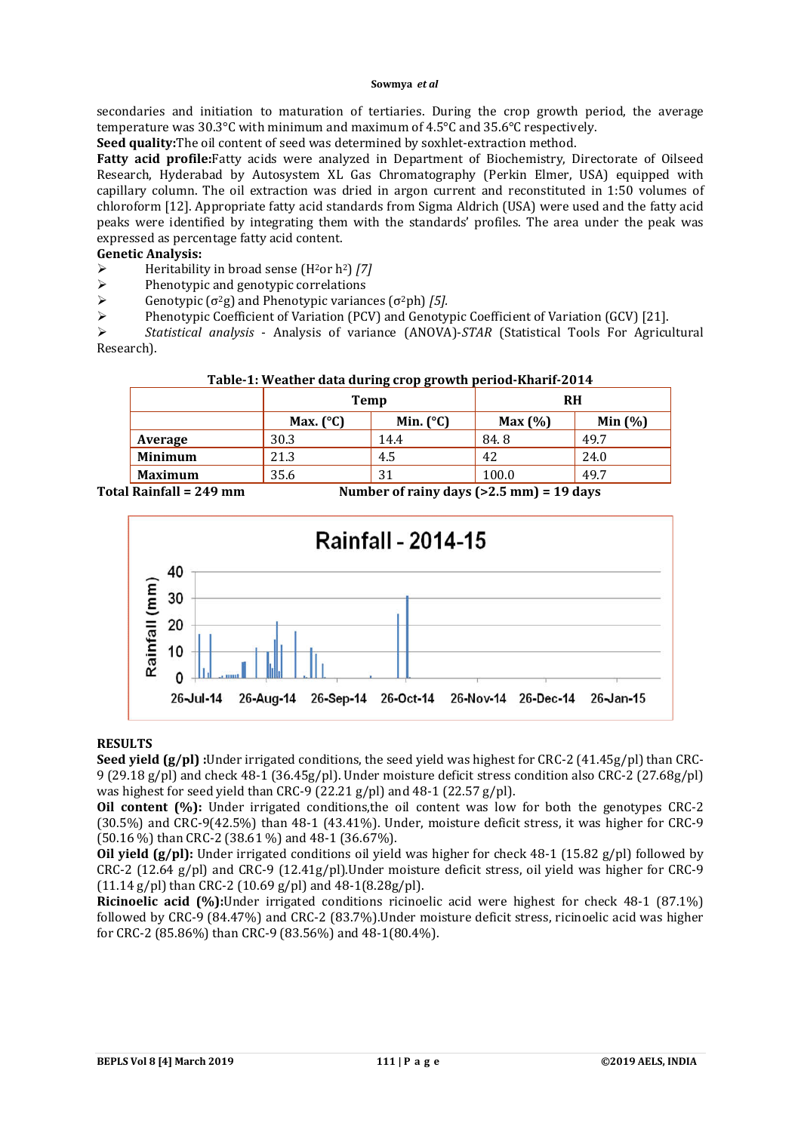secondaries and initiation to maturation of tertiaries. During the crop growth period, the average temperature was 30.3°C with minimum and maximum of 4.5°C and 35.6°C respectively.

**Seed quality:**The oil content of seed was determined by soxhlet-extraction method.

**Fatty acid profile:**Fatty acids were analyzed in Department of Biochemistry, Directorate of Oilseed Research, Hyderabad by Autosystem XL Gas Chromatography (Perkin Elmer, USA) equipped with capillary column. The oil extraction was dried in argon current and reconstituted in 1:50 volumes of chloroform [12]. Appropriate fatty acid standards from Sigma Aldrich (USA) were used and the fatty acid peaks were identified by integrating them with the standards' profiles. The area under the peak was expressed as percentage fatty acid content.

# **Genetic Analysis:**

- Heritability in broad sense (H2or h2) *[7]*
- $\triangleright$  Phenotypic and genotypic correlations<br>  $\triangleright$  Genotypic ( $\sigma^2$ g) and Phenotypic variance
- Genotypic  $(\sigma^2 g)$  and Phenotypic variances  $(\sigma^2 ph)$  *[5].*
- $\triangleright$  Phenotypic Coefficient of Variation (PCV) and Genotypic Coefficient of Variation (GCV) [21].

 *Statistical analysis* - Analysis of variance (ANOVA)-*STAR* (Statistical Tools For Agricultural Research).

|                                                                                                                                 |                                          | Temp                                                                                                                                                                                                                                                                                             | <b>RH</b>     |                 |  |  |
|---------------------------------------------------------------------------------------------------------------------------------|------------------------------------------|--------------------------------------------------------------------------------------------------------------------------------------------------------------------------------------------------------------------------------------------------------------------------------------------------|---------------|-----------------|--|--|
|                                                                                                                                 | Min. $(^{\circ}C)$<br>Max. $(^{\circ}C)$ |                                                                                                                                                                                                                                                                                                  | Max(%)        | Min $(%)$       |  |  |
| Average                                                                                                                         | 30.3                                     | 14.4                                                                                                                                                                                                                                                                                             | 84.8          | 49.7            |  |  |
| Minimum                                                                                                                         | 21.3                                     | 4.5                                                                                                                                                                                                                                                                                              | 42            | 24.0            |  |  |
| <b>Maximum</b>                                                                                                                  | 35.6<br>31                               |                                                                                                                                                                                                                                                                                                  | 49.7<br>100.0 |                 |  |  |
| $\mathbf{D} \cdot \mathbf{L} \cdot \mathbf{L} \cdot \mathbf{H} = \mathbf{D} \cdot \mathbf{A} \cdot \mathbf{L} \cdot \mathbf{L}$ |                                          | $\mathbf{M}$ and $\mathbf{L}$ and $\mathbf{L}$ and $\mathbf{L}$ and $\mathbf{L}$ and $\mathbf{L}$ and $\mathbf{L}$ and $\mathbf{L}$ and $\mathbf{L}$ and $\mathbf{L}$ and $\mathbf{L}$ and $\mathbf{L}$ and $\mathbf{L}$ and $\mathbf{L}$ and $\mathbf{L}$ and $\mathbf{L}$ and $\mathbf{L}$ and |               | $\overline{AB}$ |  |  |

## **Table-1: Weather data during crop growth period-Kharif-2014**

**Total Rainfall = 249 mm Number of rainy days (>2.5 mm) = 19 days**



## **RESULTS**

**Seed yield (g/pl) :**Under irrigated conditions, the seed yield was highest for CRC-2 (41.45g/pl) than CRC-9 (29.18 g/pl) and check 48-1 (36.45g/pl). Under moisture deficit stress condition also CRC-2 (27.68g/pl) was highest for seed yield than CRC-9 (22.21 g/pl) and 48-1 (22.57 g/pl).

**Oil content (%):** Under irrigated conditions,the oil content was low for both the genotypes CRC-2 (30.5%) and CRC-9(42.5%) than 48-1 (43.41%). Under, moisture deficit stress, it was higher for CRC-9 (50.16 %) than CRC-2 (38.61 %) and 48-1 (36.67%).

**Oil yield (g/pl):** Under irrigated conditions oil yield was higher for check 48-1 (15.82 g/pl) followed by CRC-2 (12.64 g/pl) and CRC-9 (12.41g/pl).Under moisture deficit stress, oil yield was higher for CRC-9  $(11.14 \text{ g/pl})$  than CRC-2  $(10.69 \text{ g/pl})$  and  $48-1(8.28 \text{ g/pl})$ .

**Ricinoelic acid (%):**Under irrigated conditions ricinoelic acid were highest for check 48-1 (87.1%) followed by CRC-9 (84.47%) and CRC-2 (83.7%).Under moisture deficit stress, ricinoelic acid was higher for CRC-2 (85.86%) than CRC-9 (83.56%) and 48-1(80.4%).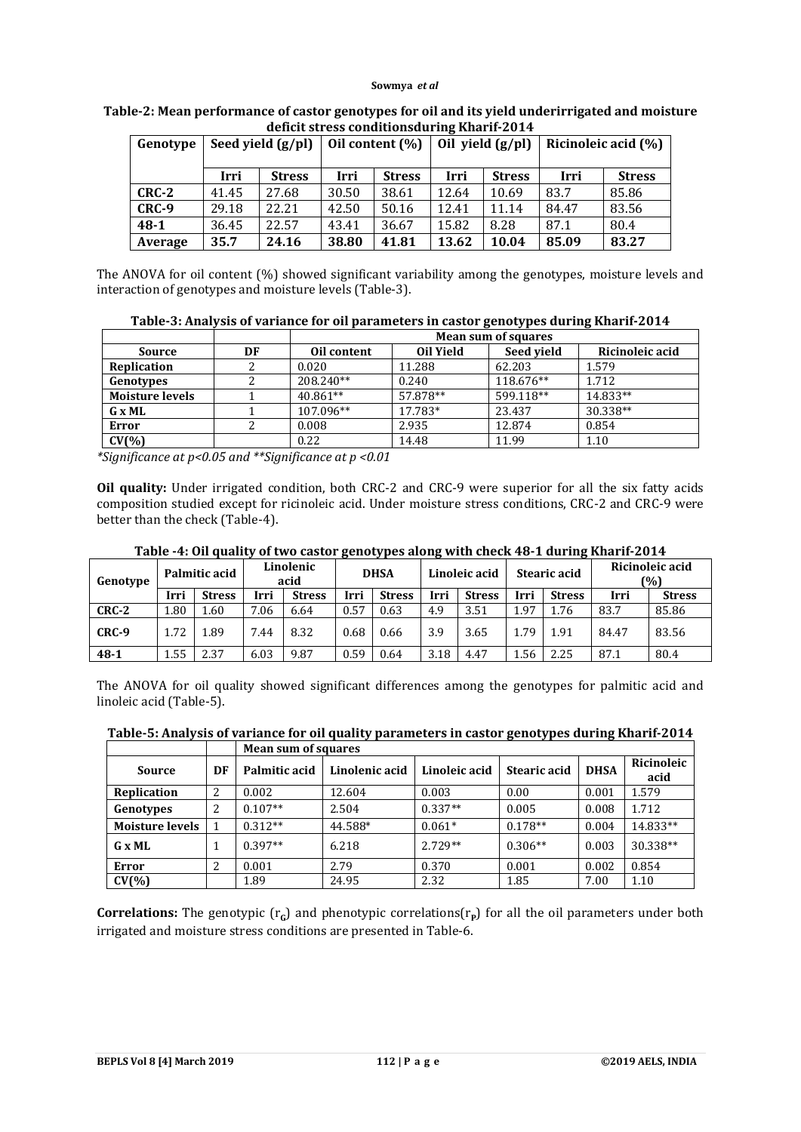| Genotype | Seed yield $(g/ml)$   |       |       | Oil yield $(g/ml)$<br>Oil content (%) |                       |       |                       | Ricinoleic acid (%) |  |  |
|----------|-----------------------|-------|-------|---------------------------------------|-----------------------|-------|-----------------------|---------------------|--|--|
|          | Irri<br><b>Stress</b> |       | Irri  | <b>Stress</b>                         | Irri<br><b>Stress</b> |       | Irri<br><b>Stress</b> |                     |  |  |
| CRC-2    | 41.45                 | 27.68 | 30.50 | 38.61                                 | 12.64                 | 10.69 | 83.7                  | 85.86               |  |  |
| CRC-9    | 29.18                 | 22.21 | 42.50 | 50.16                                 | 12.41                 | 11.14 | 84.47                 | 83.56               |  |  |
| $48-1$   | 36.45                 | 22.57 | 43.41 | 36.67                                 | 15.82                 | 8.28  | 87.1                  | 80.4                |  |  |
| Average  | 35.7                  | 24.16 | 38.80 | 41.81                                 | 13.62                 | 10.04 | 85.09                 | 83.27               |  |  |

#### **Table-2: Mean performance of castor genotypes for oil and its yield underirrigated and moisture deficit stress conditionsduring Kharif-2014**

The ANOVA for oil content (%) showed significant variability among the genotypes, moisture levels and interaction of genotypes and moisture levels (Table-3).

| Table-3: Analysis of variance for oil parameters in castor genotypes during Kharif-2014 |  |  |
|-----------------------------------------------------------------------------------------|--|--|
|-----------------------------------------------------------------------------------------|--|--|

|                        |  | <b>Mean sum of squares</b> |           |            |                 |  |  |  |  |  |
|------------------------|--|----------------------------|-----------|------------|-----------------|--|--|--|--|--|
| DF<br>Source           |  | Oil content                | Oil Yield | Seed vield | Ricinoleic acid |  |  |  |  |  |
| <b>Replication</b>     |  | 0.020                      | 11.288    | 62.203     | 1.579           |  |  |  |  |  |
| Genotypes              |  | 208.240**                  | 0.240     | 118.676**  | 1.712           |  |  |  |  |  |
| <b>Moisture levels</b> |  | $40.861**$                 | 57.878**  | 599.118**  | 14.833**        |  |  |  |  |  |
| G x ML                 |  | 107.096**                  | 17.783*   | 23.437     | 30.338**        |  |  |  |  |  |
| Error                  |  | 0.008                      | 2.935     | 12.874     | 0.854           |  |  |  |  |  |
| CV(% )                 |  | 0.22                       | 14.48     | 11.99      | 1.10            |  |  |  |  |  |

*\*Significance at p<0.05 and \*\*Significance at p <0.01*

**Oil quality:** Under irrigated condition, both CRC-2 and CRC-9 were superior for all the six fatty acids composition studied except for ricinoleic acid. Under moisture stress conditions, CRC-2 and CRC-9 were better than the check (Table-4).

| Table -4: Oil quality of two castor genotypes along with check 48-1 during Kharif-2014 |  |
|----------------------------------------------------------------------------------------|--|
|----------------------------------------------------------------------------------------|--|

| Genotype | Palmitic acid |               | Linolenic<br>acid |               | <b>DHSA</b> |               | Linoleic acid |               | Stearic acid |               | Ricinoleic acid<br>(%) |               |
|----------|---------------|---------------|-------------------|---------------|-------------|---------------|---------------|---------------|--------------|---------------|------------------------|---------------|
|          | Irri          | <b>Stress</b> | Irri              | <b>Stress</b> | Irri        | <b>Stress</b> | Irri          | <b>Stress</b> | Irri         | <b>Stress</b> | Irri                   | <b>Stress</b> |
| $CRC-2$  | 1.80          | 1.60          | 7.06              | 6.64          | 0.57        | 0.63          | 4.9           | 3.51          | 1.97         | 1.76          | 83.7                   | 85.86         |
| CRC-9    | 1.72          | 1.89          | 7.44              | 8.32          | 0.68        | 0.66          | 3.9           | 3.65          | 1.79         | 1.91          | 84.47                  | 83.56         |
| $48 - 1$ | 1.55          | 2.37          | 6.03              | 9.87          | 0.59        | 0.64          | 3.18          | 4.47          | 1.56         | 2.25          | 87.1                   | 80.4          |

The ANOVA for oil quality showed significant differences among the genotypes for palmitic acid and linoleic acid (Table-5).

|  | Table-5: Analysis of variance for oil quality parameters in castor genotypes during Kharif-2014 |
|--|-------------------------------------------------------------------------------------------------|
|  | <b>Mean sum of squares</b>                                                                      |

| Source                 | DF | Palmitic acid | Linolenic acid | Linoleic acid | Stearic acid | <b>DHSA</b> | Ricinoleic<br>acid |  |  |  |  |  |
|------------------------|----|---------------|----------------|---------------|--------------|-------------|--------------------|--|--|--|--|--|
| Replication            | 2  | 0.002         | 12.604         | 0.003         | 0.00         | 0.001       | 1.579              |  |  |  |  |  |
| Genotypes              | 2  | $0.107**$     | 2.504          | $0.337**$     | 0.005        | 0.008       | 1.712              |  |  |  |  |  |
| <b>Moisture levels</b> |    | $0.312**$     | 44.588*        | $0.061*$      | $0.178**$    | 0.004       | 14.833**           |  |  |  |  |  |
| $G \times ML$          |    | $0.397**$     | 6.218          | $2.729**$     | $0.306**$    | 0.003       | 30.338**           |  |  |  |  |  |
| Error                  | 2  | 0.001         | 2.79           | 0.370         | 0.001        | 0.002       | 0.854              |  |  |  |  |  |
| $CV(\% )$              |    | 1.89          | 24.95          | 2.32          | 1.85         | 7.00        | 1.10               |  |  |  |  |  |

**Correlations:** The genotypic  $(r<sub>G</sub>)$  and phenotypic correlations( $r<sub>P</sub>$ ) for all the oil parameters under both irrigated and moisture stress conditions are presented in Table-6.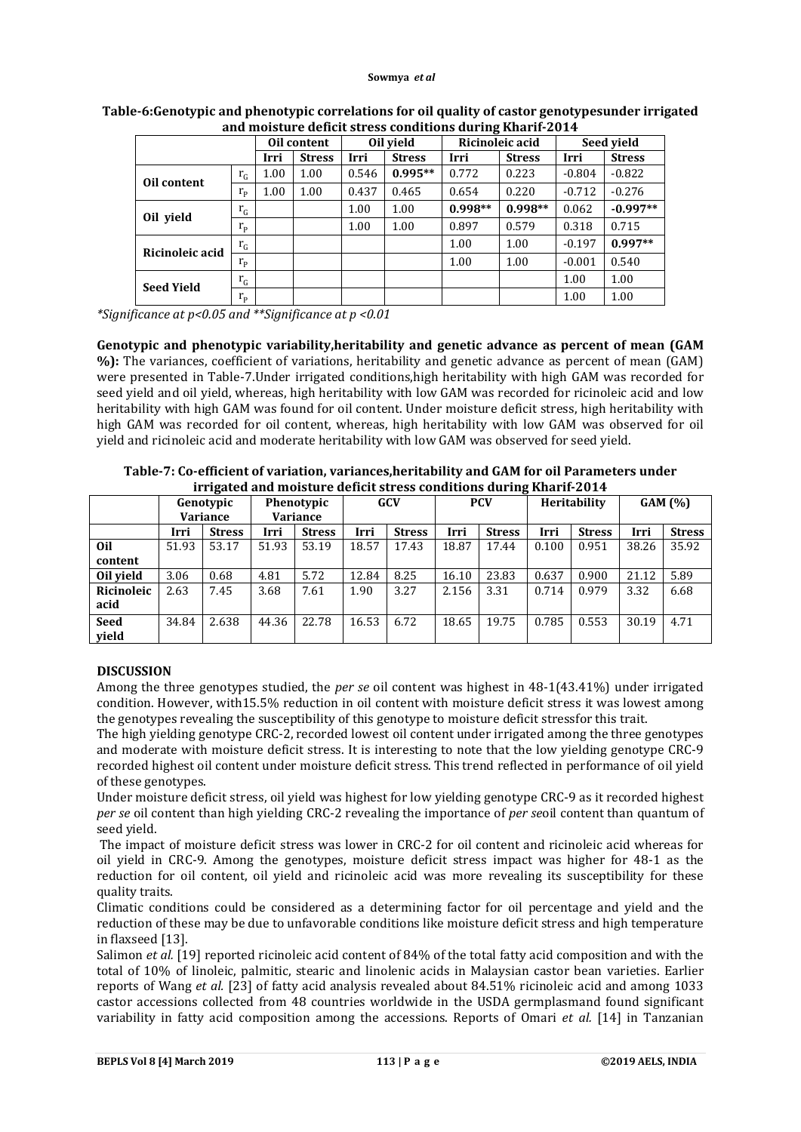| ana moistare acheit su css conartions auring nnarn 2011 |             |             |               |          |               |           |                 |            |               |  |  |
|---------------------------------------------------------|-------------|-------------|---------------|----------|---------------|-----------|-----------------|------------|---------------|--|--|
|                                                         |             | Oil content |               |          | Oil vield     |           | Ricinoleic acid | Seed vield |               |  |  |
|                                                         |             | Irri        | <b>Stress</b> | Irri     | <b>Stress</b> | Irri      | <b>Stress</b>   | Irri       | <b>Stress</b> |  |  |
|                                                         | $r_{G}$     | 1.00        | 1.00          | 0.546    | $0.995**$     | 0.772     | 0.223           | $-0.804$   | $-0.822$      |  |  |
| Oil content                                             | $r_{\rm p}$ | 1.00        | 1.00          | 0.437    | 0.465         | 0.654     | 0.220           | $-0.712$   | $-0.276$      |  |  |
|                                                         | $r_G$       |             |               | $1.00\,$ | 1.00          | $0.998**$ | $0.998**$       | 0.062      | $-0.997**$    |  |  |
| Oil yield                                               | $r_{\rm p}$ |             |               | 1.00     | 1.00          | 0.897     | 0.579           | 0.318      | 0.715         |  |  |
| Ricinoleic acid                                         | $r_G$       |             |               |          |               | 1.00      | 1.00            | $-0.197$   | $0.997**$     |  |  |
|                                                         | $r_{\rm p}$ |             |               |          |               | 1.00      | 1.00            | $-0.001$   | 0.540         |  |  |
| <b>Seed Yield</b>                                       | $r_{G}$     |             |               |          |               |           |                 | 1.00       | 1.00          |  |  |
|                                                         | $r_{\rm p}$ |             |               |          |               |           |                 | 1.00       | 1.00          |  |  |

## **Table-6:Genotypic and phenotypic correlations for oil quality of castor genotypesunder irrigated and moisture deficit stress conditions during Kharif-2014**

*\*Significance at p<0.05 and \*\*Significance at p <0.01*

**Genotypic and phenotypic variability,heritability and genetic advance as percent of mean (GAM %):** The variances, coefficient of variations, heritability and genetic advance as percent of mean (GAM) were presented in Table-7.Under irrigated conditions,high heritability with high GAM was recorded for seed yield and oil yield, whereas, high heritability with low GAM was recorded for ricinoleic acid and low heritability with high GAM was found for oil content. Under moisture deficit stress, high heritability with high GAM was recorded for oil content, whereas, high heritability with low GAM was observed for oil yield and ricinoleic acid and moderate heritability with low GAM was observed for seed yield.

|             | 11 Igalcu anu moistui e uentit su ess conditions dui mg Khai n-2014 |               |                                           |               |       |               |            |               |              |               |        |               |  |
|-------------|---------------------------------------------------------------------|---------------|-------------------------------------------|---------------|-------|---------------|------------|---------------|--------------|---------------|--------|---------------|--|
|             | Genotypic                                                           |               | Phenotypic<br>Variance<br><b>Variance</b> |               | GCV   |               | <b>PCV</b> |               | Heritability |               | GAM(%) |               |  |
|             | Irri                                                                | <b>Stress</b> | Irri                                      | <b>Stress</b> | Irri  | <b>Stress</b> | Irri       | <b>Stress</b> | Irri         | <b>Stress</b> | Irri   | <b>Stress</b> |  |
| 0il         | 51.93                                                               | 53.17         | 51.93                                     | 53.19         | 18.57 | 17.43         | 18.87      | 17.44         | 0.100        | 0.951         | 38.26  | 35.92         |  |
| content     |                                                                     |               |                                           |               |       |               |            |               |              |               |        |               |  |
| Oil vield   | 3.06                                                                | 0.68          | 4.81                                      | 5.72          | 12.84 | 8.25          | 16.10      | 23.83         | 0.637        | 0.900         | 21.12  | 5.89          |  |
| Ricinoleic  | 2.63                                                                | 7.45          | 3.68                                      | 7.61          | 1.90  | 3.27          | 2.156      | 3.31          | 0.714        | 0.979         | 3.32   | 6.68          |  |
| acid        |                                                                     |               |                                           |               |       |               |            |               |              |               |        |               |  |
| <b>Seed</b> | 34.84                                                               | 2.638         | 44.36                                     | 22.78         | 16.53 | 6.72          | 18.65      | 19.75         | 0.785        | 0.553         | 30.19  | 4.71          |  |
| vield       |                                                                     |               |                                           |               |       |               |            |               |              |               |        |               |  |

**Table-7: Co-efficient of variation, variances,heritability and GAM for oil Parameters under irrigated and moisture deficit stress conditions during Kharif-2014**

# **DISCUSSION**

Among the three genotypes studied, the *per se* oil content was highest in 48-1(43.41%) under irrigated condition. However, with15.5% reduction in oil content with moisture deficit stress it was lowest among the genotypes revealing the susceptibility of this genotype to moisture deficit stressfor this trait.

The high yielding genotype CRC-2, recorded lowest oil content under irrigated among the three genotypes and moderate with moisture deficit stress. It is interesting to note that the low yielding genotype CRC-9 recorded highest oil content under moisture deficit stress. This trend reflected in performance of oil yield of these genotypes.

Under moisture deficit stress, oil yield was highest for low yielding genotype CRC-9 as it recorded highest *per se* oil content than high yielding CRC-2 revealing the importance of *per se*oil content than quantum of seed yield.

The impact of moisture deficit stress was lower in CRC-2 for oil content and ricinoleic acid whereas for oil yield in CRC-9. Among the genotypes, moisture deficit stress impact was higher for 48-1 as the reduction for oil content, oil yield and ricinoleic acid was more revealing its susceptibility for these quality traits.

Climatic conditions could be considered as a determining factor for oil percentage and yield and the reduction of these may be due to unfavorable conditions like moisture deficit stress and high temperature in flaxseed [13].

Salimon *et al.* [19] reported ricinoleic acid content of 84% of the total fatty acid composition and with the total of 10% of linoleic, palmitic, stearic and linolenic acids in Malaysian castor bean varieties. Earlier reports of Wang *et al.* [23] of fatty acid analysis revealed about 84.51% ricinoleic acid and among 1033 castor accessions collected from 48 countries worldwide in the USDA germplasmand found significant variability in fatty acid composition among the accessions. Reports of Omari *et al.* [14] in Tanzanian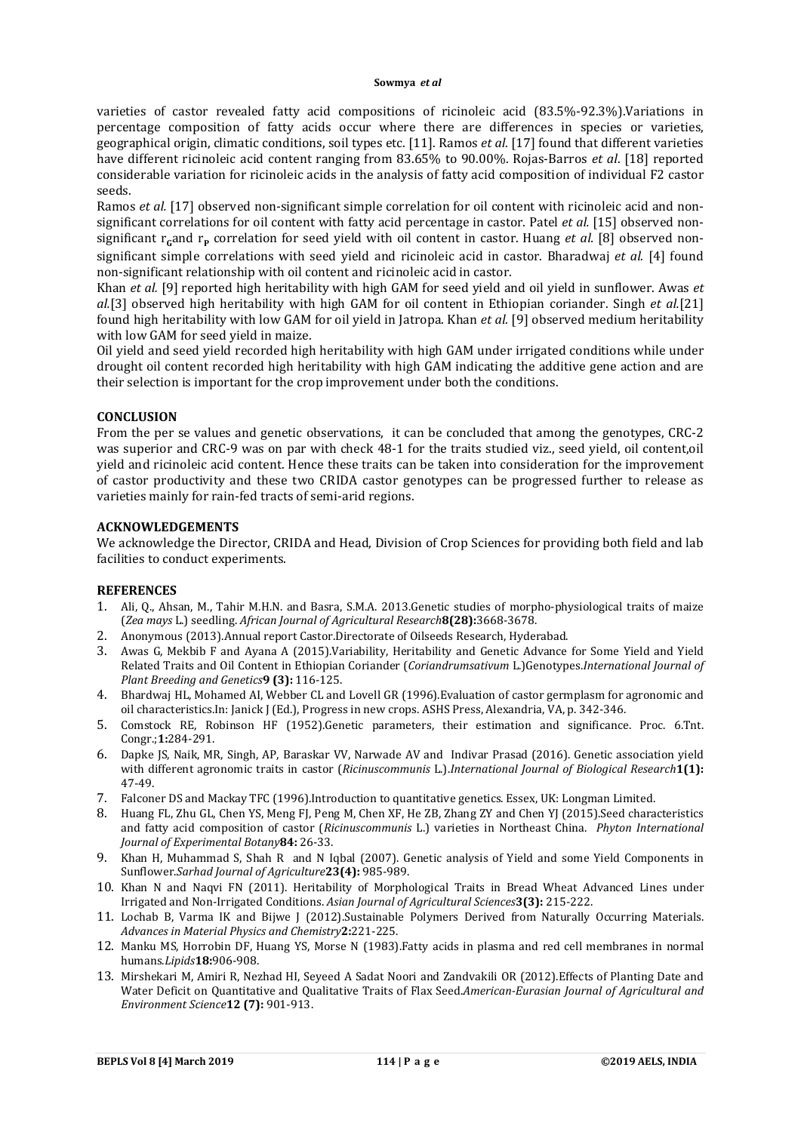varieties of castor revealed fatty acid compositions of ricinoleic acid (83.5%-92.3%).Variations in percentage composition of fatty acids occur where there are differences in species or varieties, geographical origin, climatic conditions, soil types etc. [11]. Ramos *et al*. [17] found that different varieties have different ricinoleic acid content ranging from 83.65% to 90.00%. Rojas-Barros *et al*. [18] reported considerable variation for ricinoleic acids in the analysis of fatty acid composition of individual F2 castor seeds.

Ramos *et al.* [17] observed non-significant simple correlation for oil content with ricinoleic acid and nonsignificant correlations for oil content with fatty acid percentage in castor. Patel *et al.* [15] observed nonsignificant r<sub>c</sub>and r<sub>p</sub> correlation for seed yield with oil content in castor. Huang *et al.* [8] observed nonsignificant simple correlations with seed yield and ricinoleic acid in castor. Bharadwaj *et al.* [4] found non-significant relationship with oil content and ricinoleic acid in castor.

Khan *et al.* [9] reported high heritability with high GAM for seed yield and oil yield in sunflower. Awas *et al.*[3] observed high heritability with high GAM for oil content in Ethiopian coriander. Singh *et al.*[21] found high heritability with low GAM for oil yield in Jatropa. Khan *et al.* [9] observed medium heritability with low GAM for seed yield in maize.

Oil yield and seed yield recorded high heritability with high GAM under irrigated conditions while under drought oil content recorded high heritability with high GAM indicating the additive gene action and are their selection is important for the crop improvement under both the conditions.

# **CONCLUSION**

From the per se values and genetic observations, it can be concluded that among the genotypes, CRC-2 was superior and CRC-9 was on par with check 48-1 for the traits studied viz., seed yield, oil content,oil yield and ricinoleic acid content. Hence these traits can be taken into consideration for the improvement of castor productivity and these two CRIDA castor genotypes can be progressed further to release as varieties mainly for rain-fed tracts of semi-arid regions.

## **ACKNOWLEDGEMENTS**

We acknowledge the Director, CRIDA and Head, Division of Crop Sciences for providing both field and lab facilities to conduct experiments.

## **REFERENCES**

- 1. Ali, Q., Ahsan, M., Tahir M.H.N. and Basra, S.M.A. 2013.Genetic studies of morpho-physiological traits of maize (*Zea mays* L.) seedling. *African Journal of Agricultural Research***8(28):**3668-3678.
- 2. Anonymous (2013).Annual report Castor.Directorate of Oilseeds Research, Hyderabad.
- 3. Awas G, Mekbib F and Ayana A (2015).Variability, Heritability and Genetic Advance for Some Yield and Yield Related Traits and Oil Content in Ethiopian Coriander (*Coriandrumsativum* L.)Genotypes.*International Journal of Plant Breeding and Genetics***9 (3):** 116-125.
- 4. Bhardwaj HL, Mohamed AI, Webber CL and Lovell GR (1996).Evaluation of castor germplasm for agronomic and oil characteristics.In: Janick J (Ed.), Progress in new crops. ASHS Press, Alexandria, VA, p. 342-346.
- 5. Comstock RE, Robinson HF (1952).Genetic parameters, their estimation and significance. Proc. 6.Tnt. Congr.;**1:**284-291.
- 6. Dapke JS, Naik, MR, Singh, AP, Baraskar VV, Narwade AV and Indivar Prasad (2016). Genetic association yield with different agronomic traits in castor (*Ricinuscommunis* L.).*International Journal of Biological Research***1(1):** 47-49.
- 7. Falconer DS and Mackay TFC (1996).Introduction to quantitative genetics. Essex, UK: Longman Limited.
- 8. Huang FL, Zhu GL, Chen YS, Meng FJ, Peng M, Chen XF, He ZB, Zhang ZY and Chen YJ (2015).Seed characteristics and fatty acid composition of castor (*Ricinuscommunis* L.) varieties in Northeast China. *Phyton International Journal of Experimental Botany***84:** 26-33.
- 9. Khan H, Muhammad S, Shah R and N Iqbal (2007). Genetic analysis of Yield and some Yield Components in Sunflower.*Sarhad Journal of Agriculture***23(4):** 985-989.
- 10. Khan N and Naqvi FN (2011). Heritability of Morphological Traits in Bread Wheat Advanced Lines under Irrigated and Non-Irrigated Conditions. *Asian Journal of Agricultural Sciences***3(3):** 215-222.
- 11. Lochab B, Varma IK and Bijwe J (2012).Sustainable Polymers Derived from Naturally Occurring Materials. *Advances in Material Physics and Chemistry***2:**221-225.
- 12. Manku MS, Horrobin DF, Huang YS, Morse N (1983).Fatty acids in plasma and red cell membranes in normal humans.*Lipids***18:**906-908.
- 13. Mirshekari M, Amiri R, Nezhad HI, Seyeed A Sadat Noori and Zandvakili OR (2012).Effects of Planting Date and Water Deficit on Quantitative and Qualitative Traits of Flax Seed.*American-Eurasian Journal of Agricultural and Environment Science***12 (7):** 901-913.